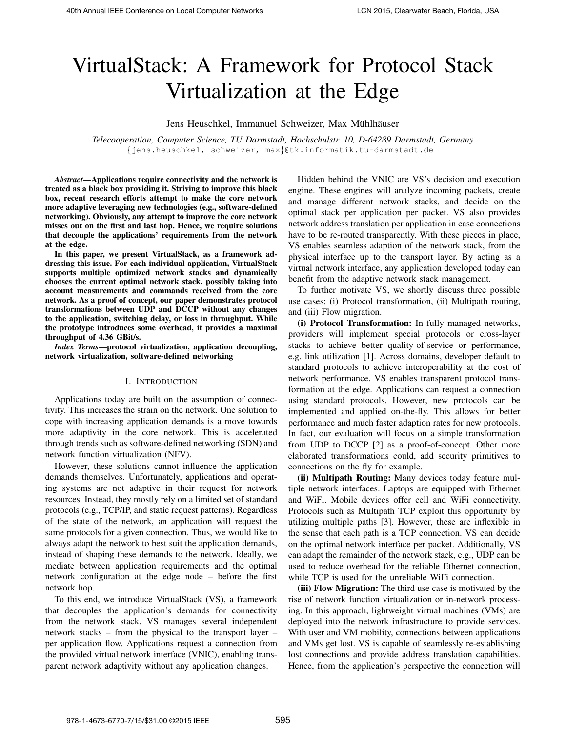# VirtualStack: A Framework for Protocol Stack Virtualization at the Edge

Jens Heuschkel, Immanuel Schweizer, Max Mühlhäuser

*Telecooperation, Computer Science, TU Darmstadt, Hochschulstr. 10, D-64289 Darmstadt, Germany* {jens.heuschkel, schweizer, max}@tk.informatik.tu-darmstadt.de

*Abstract*—Applications require connectivity and the network is treated as a black box providing it. Striving to improve this black box, recent research efforts attempt to make the core network more adaptive leveraging new technologies (e.g., software-defined networking). Obviously, any attempt to improve the core network misses out on the first and last hop. Hence, we require solutions that decouple the applications' requirements from the network at the edge.

In this paper, we present VirtualStack, as a framework addressing this issue. For each individual application, VirtualStack supports multiple optimized network stacks and dynamically chooses the current optimal network stack, possibly taking into account measurements and commands received from the core network. As a proof of concept, our paper demonstrates protocol transformations between UDP and DCCP without any changes to the application, switching delay, or loss in throughput. While the prototype introduces some overhead, it provides a maximal throughput of 4.36 GBit/s.

*Index Terms*—protocol virtualization, application decoupling, network virtualization, software-defined networking

# I. INTRODUCTION

Applications today are built on the assumption of connectivity. This increases the strain on the network. One solution to cope with increasing application demands is a move towards more adaptivity in the core network. This is accelerated through trends such as software-defined networking (SDN) and network function virtualization (NFV).

However, these solutions cannot influence the application demands themselves. Unfortunately, applications and operating systems are not adaptive in their request for network resources. Instead, they mostly rely on a limited set of standard protocols (e.g., TCP/IP, and static request patterns). Regardless of the state of the network, an application will request the same protocols for a given connection. Thus, we would like to always adapt the network to best suit the application demands, instead of shaping these demands to the network. Ideally, we mediate between application requirements and the optimal network configuration at the edge node – before the first network hop.

To this end, we introduce VirtualStack (VS), a framework that decouples the application's demands for connectivity from the network stack. VS manages several independent network stacks – from the physical to the transport layer – per application flow. Applications request a connection from the provided virtual network interface (VNIC), enabling transparent network adaptivity without any application changes.

Hidden behind the VNIC are VS's decision and execution engine. These engines will analyze incoming packets, create and manage different network stacks, and decide on the optimal stack per application per packet. VS also provides network address translation per application in case connections have to be re-routed transparently. With these pieces in place, VS enables seamless adaption of the network stack, from the physical interface up to the transport layer. By acting as a virtual network interface, any application developed today can benefit from the adaptive network stack management.

To further motivate VS, we shortly discuss three possible use cases: (i) Protocol transformation, (ii) Multipath routing, and (iii) Flow migration.

(i) Protocol Transformation: In fully managed networks, providers will implement special protocols or cross-layer stacks to achieve better quality-of-service or performance, e.g. link utilization [1]. Across domains, developer default to standard protocols to achieve interoperability at the cost of network performance. VS enables transparent protocol transformation at the edge. Applications can request a connection using standard protocols. However, new protocols can be implemented and applied on-the-fly. This allows for better performance and much faster adaption rates for new protocols. In fact, our evaluation will focus on a simple transformation from UDP to DCCP [2] as a proof-of-concept. Other more elaborated transformations could, add security primitives to connections on the fly for example.

(ii) Multipath Routing: Many devices today feature multiple network interfaces. Laptops are equipped with Ethernet and WiFi. Mobile devices offer cell and WiFi connectivity. Protocols such as Multipath TCP exploit this opportunity by utilizing multiple paths [3]. However, these are inflexible in the sense that each path is a TCP connection. VS can decide on the optimal network interface per packet. Additionally, VS can adapt the remainder of the network stack, e.g., UDP can be used to reduce overhead for the reliable Ethernet connection, while TCP is used for the unreliable WiFi connection.

(iii) Flow Migration: The third use case is motivated by the rise of network function virtualization or in-network processing. In this approach, lightweight virtual machines (VMs) are deployed into the network infrastructure to provide services. With user and VM mobility, connections between applications and VMs get lost. VS is capable of seamlessly re-establishing lost connections and provide address translation capabilities. Hence, from the application's perspective the connection will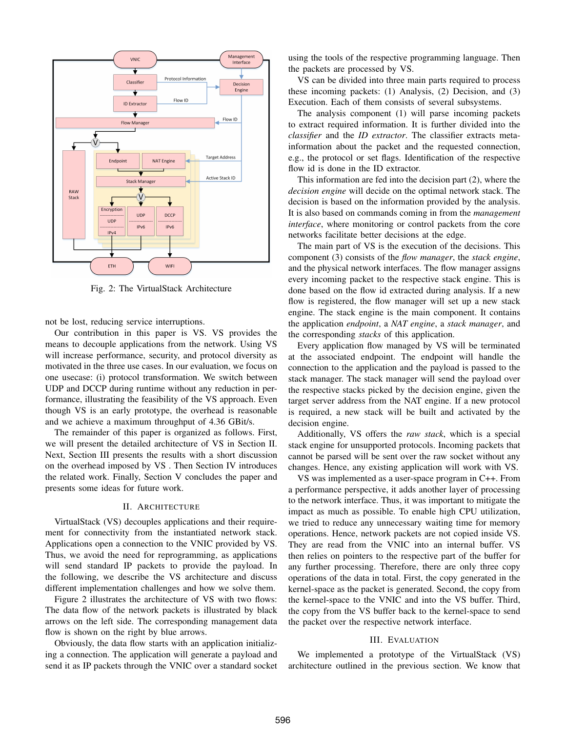

Fig. 2: The VirtualStack Architecture

not be lost, reducing service interruptions.

Our contribution in this paper is VS. VS provides the means to decouple applications from the network. Using VS will increase performance, security, and protocol diversity as motivated in the three use cases. In our evaluation, we focus on one usecase: (i) protocol transformation. We switch between UDP and DCCP during runtime without any reduction in performance, illustrating the feasibility of the VS approach. Even though VS is an early prototype, the overhead is reasonable and we achieve a maximum throughput of 4.36 GBit/s.

The remainder of this paper is organized as follows. First, we will present the detailed architecture of VS in Section II. Next, Section III presents the results with a short discussion on the overhead imposed by VS . Then Section IV introduces the related work. Finally, Section V concludes the paper and presents some ideas for future work.

# II. ARCHITECTURE

VirtualStack (VS) decouples applications and their requirement for connectivity from the instantiated network stack. Applications open a connection to the VNIC provided by VS. Thus, we avoid the need for reprogramming, as applications will send standard IP packets to provide the payload. In the following, we describe the VS architecture and discuss different implementation challenges and how we solve them.

Figure 2 illustrates the architecture of VS with two flows: The data flow of the network packets is illustrated by black arrows on the left side. The corresponding management data flow is shown on the right by blue arrows.

Obviously, the data flow starts with an application initializing a connection. The application will generate a payload and send it as IP packets through the VNIC over a standard socket using the tools of the respective programming language. Then the packets are processed by VS.

VS can be divided into three main parts required to process these incoming packets: (1) Analysis, (2) Decision, and (3) Execution. Each of them consists of several subsystems.

The analysis component (1) will parse incoming packets to extract required information. It is further divided into the *classifier* and the *ID extractor*. The classifier extracts metainformation about the packet and the requested connection, e.g., the protocol or set flags. Identification of the respective flow id is done in the ID extractor.

This information are fed into the decision part (2), where the *decision engine* will decide on the optimal network stack. The decision is based on the information provided by the analysis. It is also based on commands coming in from the *management interface*, where monitoring or control packets from the core networks facilitate better decisions at the edge.

The main part of VS is the execution of the decisions. This component (3) consists of the *flow manager*, the *stack engine*, and the physical network interfaces. The flow manager assigns every incoming packet to the respective stack engine. This is done based on the flow id extracted during analysis. If a new flow is registered, the flow manager will set up a new stack engine. The stack engine is the main component. It contains the application *endpoint*, a *NAT engine*, a *stack manager*, and the corresponding *stacks* of this application.

Every application flow managed by VS will be terminated at the associated endpoint. The endpoint will handle the connection to the application and the payload is passed to the stack manager. The stack manager will send the payload over the respective stacks picked by the decision engine, given the target server address from the NAT engine. If a new protocol is required, a new stack will be built and activated by the decision engine.

Additionally, VS offers the *raw stack*, which is a special stack engine for unsupported protocols. Incoming packets that cannot be parsed will be sent over the raw socket without any changes. Hence, any existing application will work with VS.

VS was implemented as a user-space program in C++. From a performance perspective, it adds another layer of processing to the network interface. Thus, it was important to mitigate the impact as much as possible. To enable high CPU utilization, we tried to reduce any unnecessary waiting time for memory operations. Hence, network packets are not copied inside VS. They are read from the VNIC into an internal buffer. VS then relies on pointers to the respective part of the buffer for any further processing. Therefore, there are only three copy operations of the data in total. First, the copy generated in the kernel-space as the packet is generated. Second, the copy from the kernel-space to the VNIC and into the VS buffer. Third, the copy from the VS buffer back to the kernel-space to send the packet over the respective network interface.

# III. EVALUATION

We implemented a prototype of the VirtualStack (VS) architecture outlined in the previous section. We know that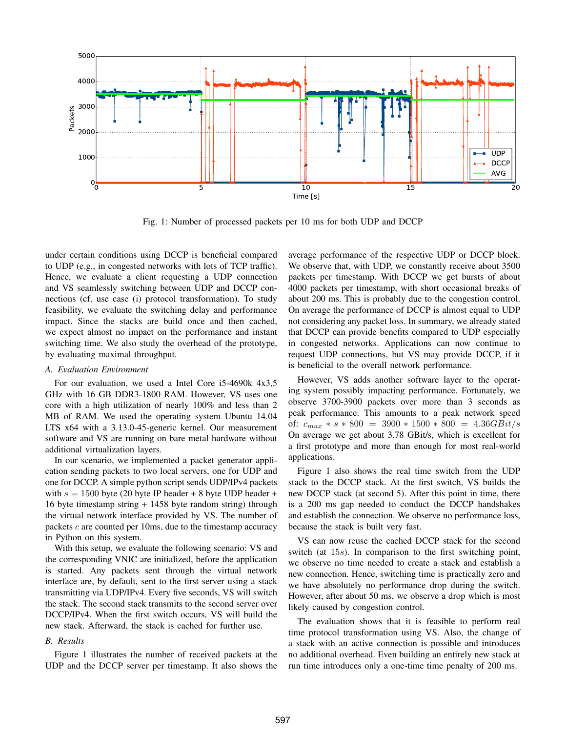

Fig. 1: Number of processed packets per 10 ms for both UDP and DCCP

under certain conditions using DCCP is beneficial compared to UDP (e.g., in congested networks with lots of TCP traffic). Hence, we evaluate a client requesting a UDP connection and VS seamlessly switching between UDP and DCCP connections (cf. use case (i) protocol transformation). To study feasibility, we evaluate the switching delay and performance impact. Since the stacks are build once and then cached, we expect almost no impact on the performance and instant switching time. We also study the overhead of the prototype, by evaluating maximal throughput.

### *A. Evaluation Environment*

For our evaluation, we used a Intel Core i5-4690k 4x3,5 GHz with 16 GB DDR3-1800 RAM. However, VS uses one core with a high utilization of nearly 100% and less than 2 MB of RAM. We used the operating system Ubuntu 14.04 LTS x64 with a 3.13.0-45-generic kernel. Our measurement software and VS are running on bare metal hardware without additional virtualization layers.

In our scenario, we implemented a packet generator application sending packets to two local servers, one for UDP and one for DCCP. A simple python script sends UDP/IPv4 packets with  $s = 1500$  byte (20 byte IP header + 8 byte UDP header + 16 byte timestamp string + 1458 byte random string) through the virtual network interface provided by VS. The number of packets  $c$  are counted per 10ms, due to the timestamp accuracy in Python on this system.

With this setup, we evaluate the following scenario: VS and the corresponding VNIC are initialized, before the application is started. Any packets sent through the virtual network interface are, by default, sent to the first server using a stack transmitting via UDP/IPv4. Every five seconds, VS will switch the stack. The second stack transmits to the second server over DCCP/IPv4. When the first switch occurs, VS will build the new stack. Afterward, the stack is cached for further use.

## *B. Results*

Figure 1 illustrates the number of received packets at the UDP and the DCCP server per timestamp. It also shows the average performance of the respective UDP or DCCP block. We observe that, with UDP, we constantly receive about 3500 packets per timestamp. With DCCP we get bursts of about 4000 packets per timestamp, with short occasional breaks of about 200 ms. This is probably due to the congestion control. On average the performance of DCCP is almost equal to UDP not considering any packet loss. In summary, we already stated that DCCP can provide benefits compared to UDP especially in congested networks. Applications can now continue to request UDP connections, but VS may provide DCCP, if it is beneficial to the overall network performance.

However, VS adds another software layer to the operating system possibly impacting performance. Fortunately, we observe 3700-3900 packets over more than 3 seconds as peak performance. This amounts to a peak network speed of:  $c_{max} * s * 800 = 3900 * 1500 * 800 = 4.36GBit/s$ On average we get about 3.78 GBit/s, which is excellent for a first prototype and more than enough for most real-world applications.

Figure 1 also shows the real time switch from the UDP stack to the DCCP stack. At the first switch, VS builds the new DCCP stack (at second 5). After this point in time, there is a 200 ms gap needed to conduct the DCCP handshakes and establish the connection. We observe no performance loss, because the stack is built very fast.

VS can now reuse the cached DCCP stack for the second switch (at 15s). In comparison to the first switching point, we observe no time needed to create a stack and establish a new connection. Hence, switching time is practically zero and we have absolutely no performance drop during the switch. However, after about 50 ms, we observe a drop which is most likely caused by congestion control.

The evaluation shows that it is feasible to perform real time protocol transformation using VS. Also, the change of a stack with an active connection is possible and introduces no additional overhead. Even building an entirely new stack at run time introduces only a one-time time penalty of 200 ms.